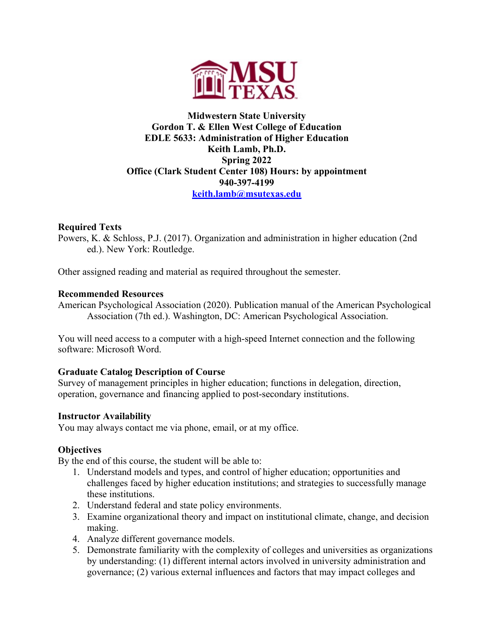

## **Midwestern State University Gordon T. & Ellen West College of Education EDLE 5633: Administration of Higher Education Keith Lamb, Ph.D. Spring 2022 Office (Clark Student Center 108) Hours: by appointment 940-397-4199 keith.lamb@msutexas.edu**

## **Required Texts**

Powers, K. & Schloss, P.J. (2017). Organization and administration in higher education (2nd ed.). New York: Routledge.

Other assigned reading and material as required throughout the semester.

### **Recommended Resources**

American Psychological Association (2020). Publication manual of the American Psychological Association (7th ed.). Washington, DC: American Psychological Association.

You will need access to a computer with a high-speed Internet connection and the following software: Microsoft Word.

# **Graduate Catalog Description of Course**

Survey of management principles in higher education; functions in delegation, direction, operation, governance and financing applied to post-secondary institutions.

### **Instructor Availability**

You may always contact me via phone, email, or at my office.

# **Objectives**

By the end of this course, the student will be able to:

- 1. Understand models and types, and control of higher education; opportunities and challenges faced by higher education institutions; and strategies to successfully manage these institutions.
- 2. Understand federal and state policy environments.
- 3. Examine organizational theory and impact on institutional climate, change, and decision making.
- 4. Analyze different governance models.
- 5. Demonstrate familiarity with the complexity of colleges and universities as organizations by understanding: (1) different internal actors involved in university administration and governance; (2) various external influences and factors that may impact colleges and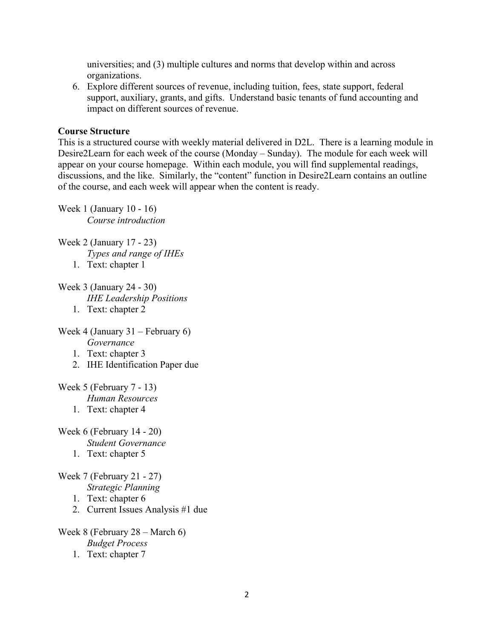universities; and (3) multiple cultures and norms that develop within and across organizations.

6. Explore different sources of revenue, including tuition, fees, state support, federal support, auxiliary, grants, and gifts. Understand basic tenants of fund accounting and impact on different sources of revenue.

#### **Course Structure**

This is a structured course with weekly material delivered in D2L. There is a learning module in Desire2Learn for each week of the course (Monday – Sunday). The module for each week will appear on your course homepage. Within each module, you will find supplemental readings, discussions, and the like. Similarly, the "content" function in Desire2Learn contains an outline of the course, and each week will appear when the content is ready.

Week 1 (January 10 - 16) *Course introduction*

- Week 2 (January 17 23) *Types and range of IHEs*
	- 1. Text: chapter 1
- Week 3 (January 24 30) *IHE Leadership Positions* 1. Text: chapter 2

Week 4 (January 31 – February 6) *Governance*

- 1. Text: chapter 3
- 2. IHE Identification Paper due

Week 5 (February 7 - 13)

*Human Resources*

1. Text: chapter 4

Week 6 (February 14 - 20) *Student Governance*

1. Text: chapter 5

Week 7 (February 21 - 27) *Strategic Planning*

- 1. Text: chapter 6
- 2. Current Issues Analysis #1 due

Week 8 (February 28 – March 6) *Budget Process* 1. Text: chapter 7